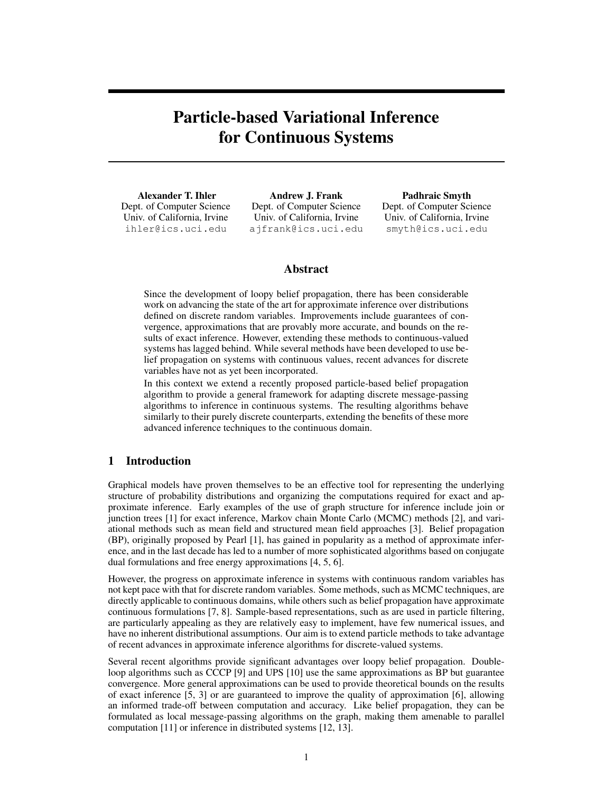# Particle-based Variational Inference for Continuous Systems

Alexander T. Ihler Dept. of Computer Science Univ. of California, Irvine ihler@ics.uci.edu

Andrew J. Frank Dept. of Computer Science Univ. of California, Irvine ajfrank@ics.uci.edu

Padhraic Smyth Dept. of Computer Science Univ. of California, Irvine smyth@ics.uci.edu

# Abstract

Since the development of loopy belief propagation, there has been considerable work on advancing the state of the art for approximate inference over distributions defined on discrete random variables. Improvements include guarantees of convergence, approximations that are provably more accurate, and bounds on the results of exact inference. However, extending these methods to continuous-valued systems has lagged behind. While several methods have been developed to use belief propagation on systems with continuous values, recent advances for discrete variables have not as yet been incorporated.

In this context we extend a recently proposed particle-based belief propagation algorithm to provide a general framework for adapting discrete message-passing algorithms to inference in continuous systems. The resulting algorithms behave similarly to their purely discrete counterparts, extending the benefits of these more advanced inference techniques to the continuous domain.

# 1 Introduction

Graphical models have proven themselves to be an effective tool for representing the underlying structure of probability distributions and organizing the computations required for exact and approximate inference. Early examples of the use of graph structure for inference include join or junction trees [1] for exact inference, Markov chain Monte Carlo (MCMC) methods [2], and variational methods such as mean field and structured mean field approaches [3]. Belief propagation (BP), originally proposed by Pearl [1], has gained in popularity as a method of approximate inference, and in the last decade has led to a number of more sophisticated algorithms based on conjugate dual formulations and free energy approximations [4, 5, 6].

However, the progress on approximate inference in systems with continuous random variables has not kept pace with that for discrete random variables. Some methods, such as MCMC techniques, are directly applicable to continuous domains, while others such as belief propagation have approximate continuous formulations [7, 8]. Sample-based representations, such as are used in particle filtering, are particularly appealing as they are relatively easy to implement, have few numerical issues, and have no inherent distributional assumptions. Our aim is to extend particle methods to take advantage of recent advances in approximate inference algorithms for discrete-valued systems.

Several recent algorithms provide significant advantages over loopy belief propagation. Doubleloop algorithms such as CCCP [9] and UPS [10] use the same approximations as BP but guarantee convergence. More general approximations can be used to provide theoretical bounds on the results of exact inference [5, 3] or are guaranteed to improve the quality of approximation [6], allowing an informed trade-off between computation and accuracy. Like belief propagation, they can be formulated as local message-passing algorithms on the graph, making them amenable to parallel computation [11] or inference in distributed systems [12, 13].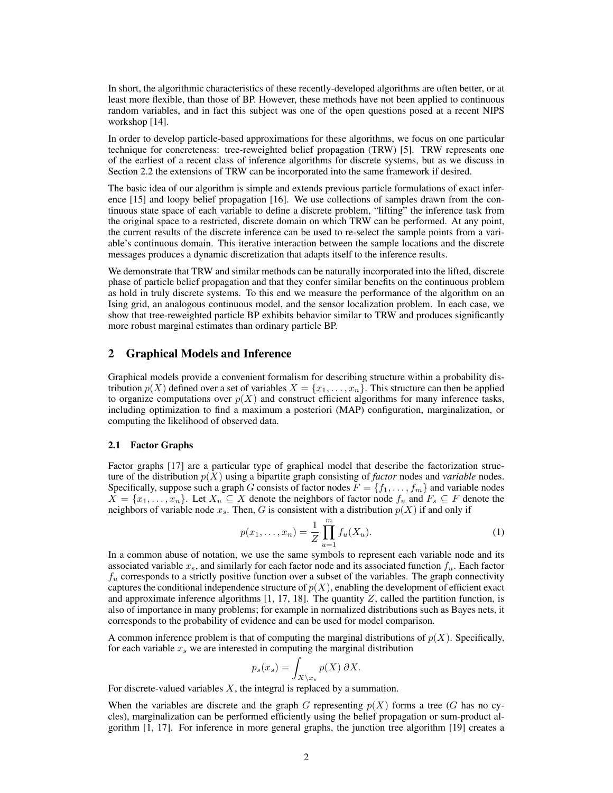In short, the algorithmic characteristics of these recently-developed algorithms are often better, or at least more flexible, than those of BP. However, these methods have not been applied to continuous random variables, and in fact this subject was one of the open questions posed at a recent NIPS workshop [14].

In order to develop particle-based approximations for these algorithms, we focus on one particular technique for concreteness: tree-reweighted belief propagation (TRW) [5]. TRW represents one of the earliest of a recent class of inference algorithms for discrete systems, but as we discuss in Section 2.2 the extensions of TRW can be incorporated into the same framework if desired.

The basic idea of our algorithm is simple and extends previous particle formulations of exact inference [15] and loopy belief propagation [16]. We use collections of samples drawn from the continuous state space of each variable to define a discrete problem, "lifting" the inference task from the original space to a restricted, discrete domain on which TRW can be performed. At any point, the current results of the discrete inference can be used to re-select the sample points from a variable's continuous domain. This iterative interaction between the sample locations and the discrete messages produces a dynamic discretization that adapts itself to the inference results.

We demonstrate that TRW and similar methods can be naturally incorporated into the lifted, discrete phase of particle belief propagation and that they confer similar benefits on the continuous problem as hold in truly discrete systems. To this end we measure the performance of the algorithm on an Ising grid, an analogous continuous model, and the sensor localization problem. In each case, we show that tree-reweighted particle BP exhibits behavior similar to TRW and produces significantly more robust marginal estimates than ordinary particle BP.

## 2 Graphical Models and Inference

Graphical models provide a convenient formalism for describing structure within a probability distribution  $p(X)$  defined over a set of variables  $X = \{x_1, \ldots, x_n\}$ . This structure can then be applied to organize computations over  $p(X)$  and construct efficient algorithms for many inference tasks, including optimization to find a maximum a posteriori (MAP) configuration, marginalization, or computing the likelihood of observed data.

## 2.1 Factor Graphs

Factor graphs [17] are a particular type of graphical model that describe the factorization structure of the distribution p(X) using a bipartite graph consisting of *factor* nodes and *variable* nodes. Specifically, suppose such a graph G consists of factor nodes  $F = \{f_1, \ldots, f_m\}$  and variable nodes  $X = \{x_1, \ldots, x_n\}$ . Let  $X_u \subseteq X$  denote the neighbors of factor node  $f_u$  and  $F_s \subseteq F$  denote the neighbors of variable node  $x_s$ . Then, G is consistent with a distribution  $p(X)$  if and only if

$$
p(x_1, ..., x_n) = \frac{1}{Z} \prod_{u=1}^m f_u(X_u).
$$
 (1)

In a common abuse of notation, we use the same symbols to represent each variable node and its associated variable  $x_s$ , and similarly for each factor node and its associated function  $f_u$ . Each factor  $f_u$  corresponds to a strictly positive function over a subset of the variables. The graph connectivity captures the conditional independence structure of  $p(X)$ , enabling the development of efficient exact and approximate inference algorithms  $[1, 17, 18]$ . The quantity  $Z$ , called the partition function, is also of importance in many problems; for example in normalized distributions such as Bayes nets, it corresponds to the probability of evidence and can be used for model comparison.

A common inference problem is that of computing the marginal distributions of  $p(X)$ . Specifically, for each variable  $x_s$  we are interested in computing the marginal distribution

$$
p_s(x_s) = \int_{X \setminus x_s} p(X) \, \partial X.
$$

For discrete-valued variables  $X$ , the integral is replaced by a summation.

When the variables are discrete and the graph G representing  $p(X)$  forms a tree (G has no cycles), marginalization can be performed efficiently using the belief propagation or sum-product algorithm [1, 17]. For inference in more general graphs, the junction tree algorithm [19] creates a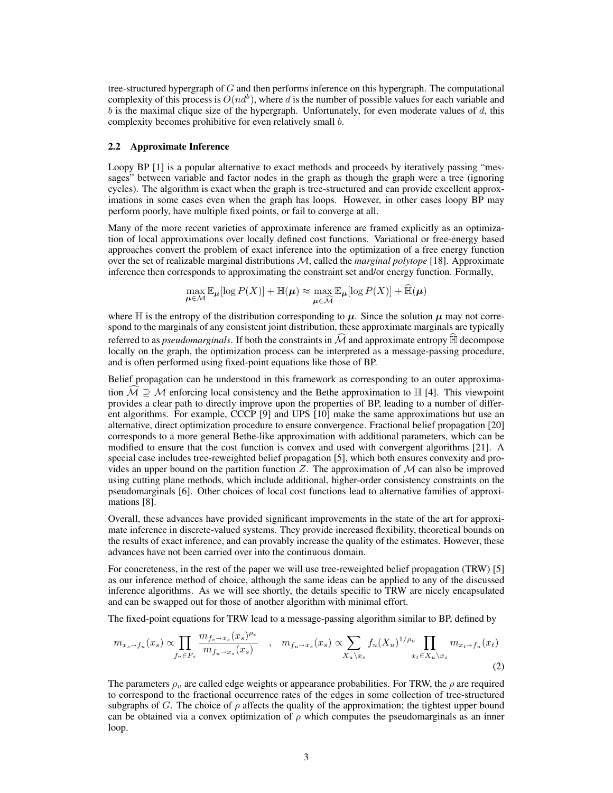tree-structured hypergraph of G and then performs inference on this hypergraph. The computational complexity of this process is  $O(nd^b)$ , where d is the number of possible values for each variable and  $b$  is the maximal clique size of the hypergraph. Unfortunately, for even moderate values of  $d$ , this complexity becomes prohibitive for even relatively small b.

#### 2.2 Approximate Inference

Loopy BP [1] is a popular alternative to exact methods and proceeds by iteratively passing "messages" between variable and factor nodes in the graph as though the graph were a tree (ignoring cycles). The algorithm is exact when the graph is tree-structured and can provide excellent approximations in some cases even when the graph has loops. However, in other cases loopy BP may perform poorly, have multiple fixed points, or fail to converge at all.

Many of the more recent varieties of approximate inference are framed explicitly as an optimization of local approximations over locally defined cost functions. Variational or free-energy based approaches convert the problem of exact inference into the optimization of a free energy function over the set of realizable marginal distributions M, called the *marginal polytope* [18]. Approximate inference then corresponds to approximating the constraint set and/or energy function. Formally,

$$
\max_{\boldsymbol{\mu} \in \mathcal{M}} \mathbb{E}_{\boldsymbol{\mu}}[\log P(X)] + \mathbb{H}(\boldsymbol{\mu}) \approx \max_{\boldsymbol{\mu} \in \widehat{\mathcal{M}}} \mathbb{E}_{\boldsymbol{\mu}}[\log P(X)] + \widehat{\mathbb{H}}(\boldsymbol{\mu})
$$

where  $\mathbb H$  is the entropy of the distribution corresponding to  $\mu$ . Since the solution  $\mu$  may not correspond to the marginals of any consistent joint distribution, these approximate marginals are typically referred to as *pseudomarginals*. If both the constraints in  $\mathcal M$  and approximate entropy  $\mathbb H$  decompose locally on the graph, the optimization process can be interpreted as a message-passing procedure, and is often performed using fixed-point equations like those of BP.

Belief propagation can be understood in this framework as corresponding to an outer approximation  $\mathcal{M} \supset \mathcal{M}$  enforcing local consistency and the Bethe approximation to  $\mathbb{H}$  [4]. This viewpoint provides a clear path to directly improve upon the properties of BP, leading to a number of different algorithms. For example, CCCP [9] and UPS [10] make the same approximations but use an alternative, direct optimization procedure to ensure convergence. Fractional belief propagation [20] corresponds to a more general Bethe-like approximation with additional parameters, which can be modified to ensure that the cost function is convex and used with convergent algorithms [21]. A special case includes tree-reweighted belief propagation [5], which both ensures convexity and provides an upper bound on the partition function  $Z$ . The approximation of  $M$  can also be improved using cutting plane methods, which include additional, higher-order consistency constraints on the pseudomarginals [6]. Other choices of local cost functions lead to alternative families of approximations [8].

Overall, these advances have provided significant improvements in the state of the art for approximate inference in discrete-valued systems. They provide increased flexibility, theoretical bounds on the results of exact inference, and can provably increase the quality of the estimates. However, these advances have not been carried over into the continuous domain.

For concreteness, in the rest of the paper we will use tree-reweighted belief propagation (TRW) [5] as our inference method of choice, although the same ideas can be applied to any of the discussed inference algorithms. As we will see shortly, the details specific to TRW are nicely encapsulated and can be swapped out for those of another algorithm with minimal effort.

The fixed-point equations for TRW lead to a message-passing algorithm similar to BP, defined by

$$
m_{x_s \to f_u}(x_s) \propto \prod_{f_v \in F_s} \frac{m_{f_v \to x_s}(x_s)^{\rho_v}}{m_{f_u \to x_s}(x_s)} \quad , \quad m_{f_u \to x_s}(x_s) \propto \sum_{X_u \backslash x_s} f_u(X_u)^{1/\rho_u} \prod_{x_t \in X_u \backslash x_s} m_{x_t \to f_u}(x_t)
$$
\n
$$
(2)
$$

The parameters  $\rho_v$  are called edge weights or appearance probabilities. For TRW, the  $\rho$  are required to correspond to the fractional occurrence rates of the edges in some collection of tree-structured subgraphs of G. The choice of  $\rho$  affects the quality of the approximation; the tightest upper bound can be obtained via a convex optimization of  $\rho$  which computes the pseudomarginals as an inner loop.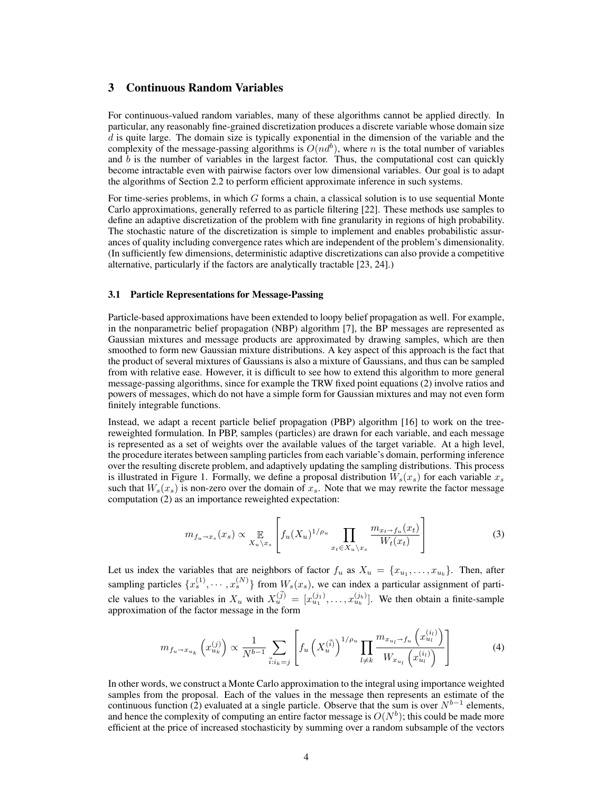# 3 Continuous Random Variables

For continuous-valued random variables, many of these algorithms cannot be applied directly. In particular, any reasonably fine-grained discretization produces a discrete variable whose domain size  $d$  is quite large. The domain size is typically exponential in the dimension of the variable and the complexity of the message-passing algorithms is  $O(nd^b)$ , where n is the total number of variables and  $b$  is the number of variables in the largest factor. Thus, the computational cost can quickly become intractable even with pairwise factors over low dimensional variables. Our goal is to adapt the algorithms of Section 2.2 to perform efficient approximate inference in such systems.

For time-series problems, in which  $G$  forms a chain, a classical solution is to use sequential Monte Carlo approximations, generally referred to as particle filtering [22]. These methods use samples to define an adaptive discretization of the problem with fine granularity in regions of high probability. The stochastic nature of the discretization is simple to implement and enables probabilistic assurances of quality including convergence rates which are independent of the problem's dimensionality. (In sufficiently few dimensions, deterministic adaptive discretizations can also provide a competitive alternative, particularly if the factors are analytically tractable [23, 24].)

#### 3.1 Particle Representations for Message-Passing

Particle-based approximations have been extended to loopy belief propagation as well. For example, in the nonparametric belief propagation (NBP) algorithm [7], the BP messages are represented as Gaussian mixtures and message products are approximated by drawing samples, which are then smoothed to form new Gaussian mixture distributions. A key aspect of this approach is the fact that the product of several mixtures of Gaussians is also a mixture of Gaussians, and thus can be sampled from with relative ease. However, it is difficult to see how to extend this algorithm to more general message-passing algorithms, since for example the TRW fixed point equations (2) involve ratios and powers of messages, which do not have a simple form for Gaussian mixtures and may not even form finitely integrable functions.

Instead, we adapt a recent particle belief propagation (PBP) algorithm [16] to work on the treereweighted formulation. In PBP, samples (particles) are drawn for each variable, and each message is represented as a set of weights over the available values of the target variable. At a high level, the procedure iterates between sampling particles from each variable's domain, performing inference over the resulting discrete problem, and adaptively updating the sampling distributions. This process is illustrated in Figure 1. Formally, we define a proposal distribution  $W_s(x_s)$  for each variable  $x_s$ such that  $W_s(x_s)$  is non-zero over the domain of  $x_s$ . Note that we may rewrite the factor message computation (2) as an importance reweighted expectation:

$$
m_{f_u \to x_s}(x_s) \propto \mathop{\mathbb{E}}_{X_u \setminus x_s} \left[ f_u(X_u)^{1/\rho_u} \prod_{x_t \in X_u \setminus x_s} \frac{m_{x_t \to f_u}(x_t)}{W_t(x_t)} \right] \tag{3}
$$

Let us index the variables that are neighbors of factor  $f_u$  as  $X_u = \{x_{u_1}, \ldots, x_{u_b}\}.$  Then, after sampling particles  $\{x_s^{(1)}, \cdots, x_s^{(N)}\}$  from  $W_s(x_s)$ , we can index a particular assignment of particle values to the variables in  $X_u$  with  $X_u^{(\vec{j})} = [x_{u_1}^{(j_1)}, \dots, x_{u_b}^{(j_b)}]$ . We then obtain a finite-sample approximation of the factor message in the form

$$
m_{f_u \to x_{u_k}}\left(x_{u_k}^{(j)}\right) \propto \frac{1}{N^{b-1}} \sum_{\vec{i}: i_k = j} \left[ f_u\left(X_u^{(\vec{i})}\right)^{1/\rho_u} \prod_{l \neq k} \frac{m_{x_{u_l} \to f_u}\left(x_{u_l}^{(i_l)}\right)}{W_{x_{u_l}}\left(x_{u_l}^{(i_l)}\right)} \right] \tag{4}
$$

In other words, we construct a Monte Carlo approximation to the integral using importance weighted samples from the proposal. Each of the values in the message then represents an estimate of the continuous function (2) evaluated at a single particle. Observe that the sum is over  $N^{b-1}$  elements, and hence the complexity of computing an entire factor message is  $O(N^b)$ ; this could be made more efficient at the price of increased stochasticity by summing over a random subsample of the vectors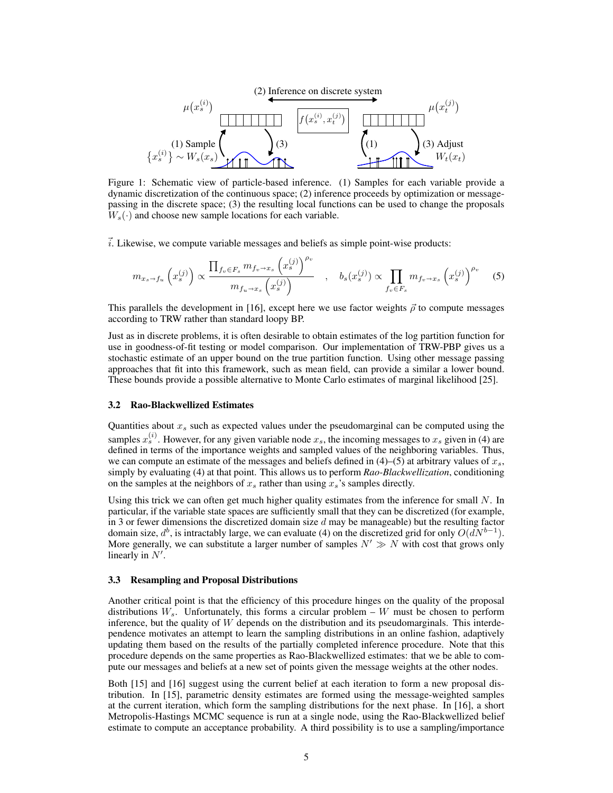

Figure 1: Schematic view of particle-based inference. (1) Samples for each variable provide a dynamic discretization of the continuous space; (2) inference proceeds by optimization or messagepassing in the discrete space; (3) the resulting local functions can be used to change the proposals  $W_s(\cdot)$  and choose new sample locations for each variable.

 $\vec{i}$ . Likewise, we compute variable messages and beliefs as simple point-wise products:

$$
m_{x_s \to f_u}\left(x_s^{(j)}\right) \propto \frac{\prod_{f_v \in F_s} m_{f_v \to x_s} \left(x_s^{(j)}\right)^{\rho_v}}{m_{f_u \to x_s}\left(x_s^{(j)}\right)} \quad , \quad b_s(x_s^{(j)}) \propto \prod_{f_v \in F_s} m_{f_v \to x_s} \left(x_s^{(j)}\right)^{\rho_v} \quad (5)
$$

This parallels the development in [16], except here we use factor weights  $\vec{\rho}$  to compute messages according to TRW rather than standard loopy BP.

Just as in discrete problems, it is often desirable to obtain estimates of the log partition function for use in goodness-of-fit testing or model comparison. Our implementation of TRW-PBP gives us a stochastic estimate of an upper bound on the true partition function. Using other message passing approaches that fit into this framework, such as mean field, can provide a similar a lower bound. These bounds provide a possible alternative to Monte Carlo estimates of marginal likelihood [25].

#### 3.2 Rao-Blackwellized Estimates

Quantities about  $x<sub>s</sub>$  such as expected values under the pseudomarginal can be computed using the samples  $x_s^{(i)}$ . However, for any given variable node  $x_s$ , the incoming messages to  $x_s$  given in (4) are defined in terms of the importance weights and sampled values of the neighboring variables. Thus, we can compute an estimate of the messages and beliefs defined in  $(4)$ –(5) at arbitrary values of  $x_s$ , simply by evaluating (4) at that point. This allows us to perform *Rao-Blackwellization*, conditioning on the samples at the neighbors of  $x_s$  rather than using  $x_s$ 's samples directly.

Using this trick we can often get much higher quality estimates from the inference for small N. In particular, if the variable state spaces are sufficiently small that they can be discretized (for example, in 3 or fewer dimensions the discretized domain size  $d$  may be manageable) but the resulting factor domain size,  $d^b$ , is intractably large, we can evaluate (4) on the discretized grid for only  $O(dN^{b-1})$ . More generally, we can substitute a larger number of samples  $N' \gg N$  with cost that grows only linearly in  $N'$ .

#### 3.3 Resampling and Proposal Distributions

Another critical point is that the efficiency of this procedure hinges on the quality of the proposal distributions  $W_s$ . Unfortunately, this forms a circular problem – W must be chosen to perform inference, but the quality of  $W$  depends on the distribution and its pseudomarginals. This interdependence motivates an attempt to learn the sampling distributions in an online fashion, adaptively updating them based on the results of the partially completed inference procedure. Note that this procedure depends on the same properties as Rao-Blackwellized estimates: that we be able to compute our messages and beliefs at a new set of points given the message weights at the other nodes.

Both [15] and [16] suggest using the current belief at each iteration to form a new proposal distribution. In [15], parametric density estimates are formed using the message-weighted samples at the current iteration, which form the sampling distributions for the next phase. In [16], a short Metropolis-Hastings MCMC sequence is run at a single node, using the Rao-Blackwellized belief estimate to compute an acceptance probability. A third possibility is to use a sampling/importance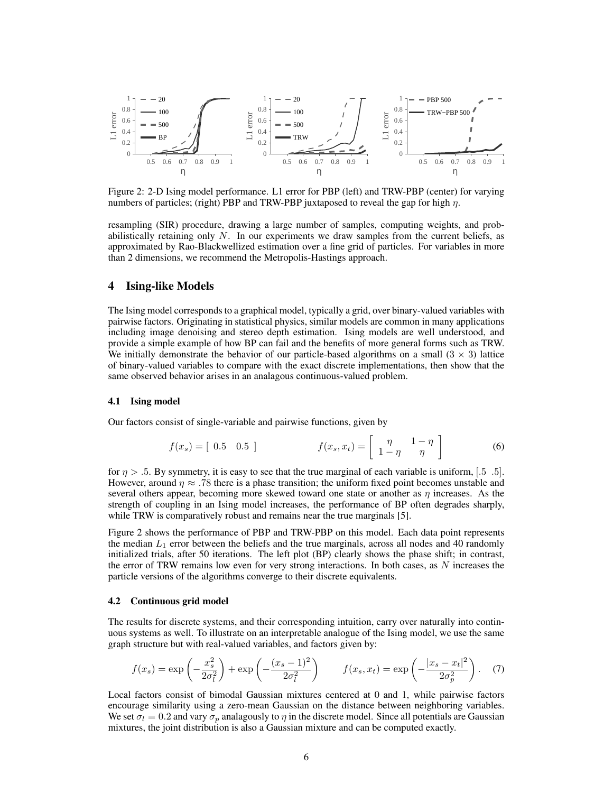

Figure 2: 2-D Ising model performance. L1 error for PBP (left) and TRW-PBP (center) for varying numbers of particles; (right) PBP and TRW-PBP juxtaposed to reveal the gap for high  $\eta$ .

resampling (SIR) procedure, drawing a large number of samples, computing weights, and probabilistically retaining only  $N$ . In our experiments we draw samples from the current beliefs, as approximated by Rao-Blackwellized estimation over a fine grid of particles. For variables in more than 2 dimensions, we recommend the Metropolis-Hastings approach.

## 4 Ising-like Models

The Ising model corresponds to a graphical model, typically a grid, over binary-valued variables with pairwise factors. Originating in statistical physics, similar models are common in many applications including image denoising and stereo depth estimation. Ising models are well understood, and provide a simple example of how BP can fail and the benefits of more general forms such as TRW. We initially demonstrate the behavior of our particle-based algorithms on a small  $(3 \times 3)$  lattice of binary-valued variables to compare with the exact discrete implementations, then show that the same observed behavior arises in an analagous continuous-valued problem.

#### 4.1 Ising model

Our factors consist of single-variable and pairwise functions, given by

$$
f(x_s) = \begin{bmatrix} 0.5 & 0.5 \end{bmatrix} \qquad f(x_s, x_t) = \begin{bmatrix} \eta & 1 - \eta \\ 1 - \eta & \eta \end{bmatrix} \tag{6}
$$

for  $\eta > 0.5$ . By symmetry, it is easy to see that the true marginal of each variable is uniform, [.5 .5]. However, around  $\eta \approx .78$  there is a phase transition; the uniform fixed point becomes unstable and several others appear, becoming more skewed toward one state or another as  $\eta$  increases. As the strength of coupling in an Ising model increases, the performance of BP often degrades sharply, while TRW is comparatively robust and remains near the true marginals [5].

Figure 2 shows the performance of PBP and TRW-PBP on this model. Each data point represents the median  $L_1$  error between the beliefs and the true marginals, across all nodes and 40 randomly initialized trials, after 50 iterations. The left plot (BP) clearly shows the phase shift; in contrast, the error of TRW remains low even for very strong interactions. In both cases, as  $N$  increases the particle versions of the algorithms converge to their discrete equivalents.

#### 4.2 Continuous grid model

The results for discrete systems, and their corresponding intuition, carry over naturally into continuous systems as well. To illustrate on an interpretable analogue of the Ising model, we use the same graph structure but with real-valued variables, and factors given by:

$$
f(x_s) = \exp\left(-\frac{x_s^2}{2\sigma_l^2}\right) + \exp\left(-\frac{(x_s - 1)^2}{2\sigma_l^2}\right) \qquad f(x_s, x_t) = \exp\left(-\frac{|x_s - x_t|^2}{2\sigma_p^2}\right). \tag{7}
$$

Local factors consist of bimodal Gaussian mixtures centered at 0 and 1, while pairwise factors encourage similarity using a zero-mean Gaussian on the distance between neighboring variables. We set  $\sigma_l = 0.2$  and vary  $\sigma_p$  analagously to  $\eta$  in the discrete model. Since all potentials are Gaussian mixtures, the joint distribution is also a Gaussian mixture and can be computed exactly.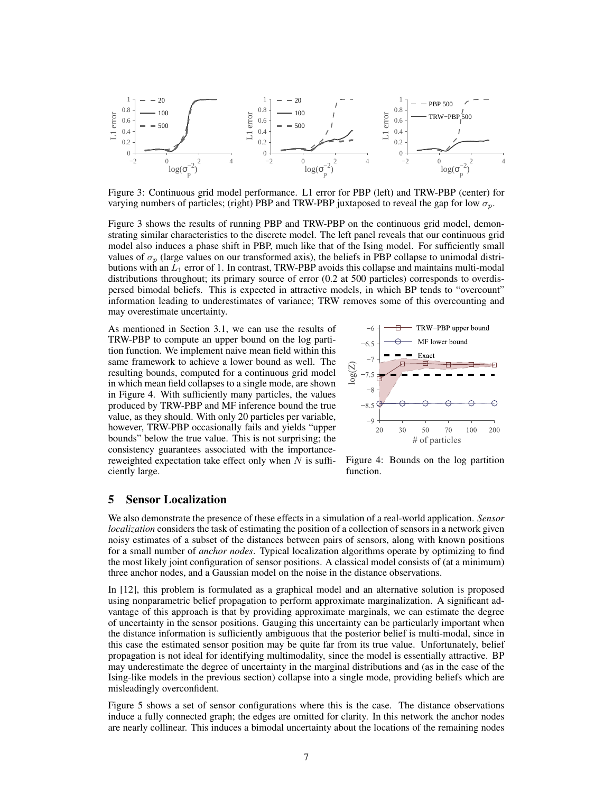

Figure 3: Continuous grid model performance. L1 error for PBP (left) and TRW-PBP (center) for varying numbers of particles; (right) PBP and TRW-PBP juxtaposed to reveal the gap for low  $\sigma_p$ .

Figure 3 shows the results of running PBP and TRW-PBP on the continuous grid model, demonstrating similar characteristics to the discrete model. The left panel reveals that our continuous grid model also induces a phase shift in PBP, much like that of the Ising model. For sufficiently small values of  $\sigma_p$  (large values on our transformed axis), the beliefs in PBP collapse to unimodal distributions with an  $L_1$  error of 1. In contrast, TRW-PBP avoids this collapse and maintains multi-modal distributions throughout; its primary source of error (0.2 at 500 particles) corresponds to overdispersed bimodal beliefs. This is expected in attractive models, in which BP tends to "overcount" information leading to underestimates of variance; TRW removes some of this overcounting and may overestimate uncertainty.

As mentioned in Section 3.1, we can use the results of TRW-PBP to compute an upper bound on the log partition function. We implement naive mean field within this same framework to achieve a lower bound as well. The resulting bounds, computed for a continuous grid model in which mean field collapses to a single mode, are shown in Figure 4. With sufficiently many particles, the values produced by TRW-PBP and MF inference bound the true value, as they should. With only 20 particles per variable, however, TRW-PBP occasionally fails and yields "upper bounds" below the true value. This is not surprising; the consistency guarantees associated with the importancereweighted expectation take effect only when  $N$  is sufficiently large.



Figure 4: Bounds on the log partition function.

## 5 Sensor Localization

We also demonstrate the presence of these effects in a simulation of a real-world application. *Sensor localization* considers the task of estimating the position of a collection of sensors in a network given noisy estimates of a subset of the distances between pairs of sensors, along with known positions for a small number of *anchor nodes*. Typical localization algorithms operate by optimizing to find the most likely joint configuration of sensor positions. A classical model consists of (at a minimum) three anchor nodes, and a Gaussian model on the noise in the distance observations.

In [12], this problem is formulated as a graphical model and an alternative solution is proposed using nonparametric belief propagation to perform approximate marginalization. A significant advantage of this approach is that by providing approximate marginals, we can estimate the degree of uncertainty in the sensor positions. Gauging this uncertainty can be particularly important when the distance information is sufficiently ambiguous that the posterior belief is multi-modal, since in this case the estimated sensor position may be quite far from its true value. Unfortunately, belief propagation is not ideal for identifying multimodality, since the model is essentially attractive. BP may underestimate the degree of uncertainty in the marginal distributions and (as in the case of the Ising-like models in the previous section) collapse into a single mode, providing beliefs which are misleadingly overconfident.

Figure 5 shows a set of sensor configurations where this is the case. The distance observations induce a fully connected graph; the edges are omitted for clarity. In this network the anchor nodes are nearly collinear. This induces a bimodal uncertainty about the locations of the remaining nodes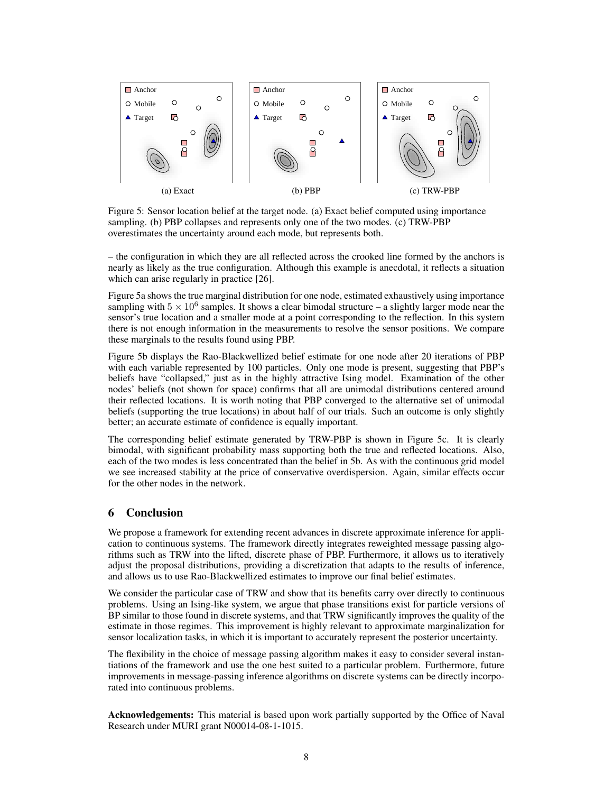

Figure 5: Sensor location belief at the target node. (a) Exact belief computed using importance sampling. (b) PBP collapses and represents only one of the two modes. (c) TRW-PBP overestimates the uncertainty around each mode, but represents both.

– the configuration in which they are all reflected across the crooked line formed by the anchors is nearly as likely as the true configuration. Although this example is anecdotal, it reflects a situation which can arise regularly in practice [26].

Figure 5a shows the true marginal distribution for one node, estimated exhaustively using importance sampling with  $5 \times 10^6$  samples. It shows a clear bimodal structure – a slightly larger mode near the sensor's true location and a smaller mode at a point corresponding to the reflection. In this system there is not enough information in the measurements to resolve the sensor positions. We compare these marginals to the results found using PBP.

Figure 5b displays the Rao-Blackwellized belief estimate for one node after 20 iterations of PBP with each variable represented by 100 particles. Only one mode is present, suggesting that PBP's beliefs have "collapsed," just as in the highly attractive Ising model. Examination of the other nodes' beliefs (not shown for space) confirms that all are unimodal distributions centered around their reflected locations. It is worth noting that PBP converged to the alternative set of unimodal beliefs (supporting the true locations) in about half of our trials. Such an outcome is only slightly better; an accurate estimate of confidence is equally important.

The corresponding belief estimate generated by TRW-PBP is shown in Figure 5c. It is clearly bimodal, with significant probability mass supporting both the true and reflected locations. Also, each of the two modes is less concentrated than the belief in 5b. As with the continuous grid model we see increased stability at the price of conservative overdispersion. Again, similar effects occur for the other nodes in the network.

# 6 Conclusion

We propose a framework for extending recent advances in discrete approximate inference for application to continuous systems. The framework directly integrates reweighted message passing algorithms such as TRW into the lifted, discrete phase of PBP. Furthermore, it allows us to iteratively adjust the proposal distributions, providing a discretization that adapts to the results of inference, and allows us to use Rao-Blackwellized estimates to improve our final belief estimates.

We consider the particular case of TRW and show that its benefits carry over directly to continuous problems. Using an Ising-like system, we argue that phase transitions exist for particle versions of BP similar to those found in discrete systems, and that TRW significantly improves the quality of the estimate in those regimes. This improvement is highly relevant to approximate marginalization for sensor localization tasks, in which it is important to accurately represent the posterior uncertainty.

The flexibility in the choice of message passing algorithm makes it easy to consider several instantiations of the framework and use the one best suited to a particular problem. Furthermore, future improvements in message-passing inference algorithms on discrete systems can be directly incorporated into continuous problems.

Acknowledgements: This material is based upon work partially supported by the Office of Naval Research under MURI grant N00014-08-1-1015.